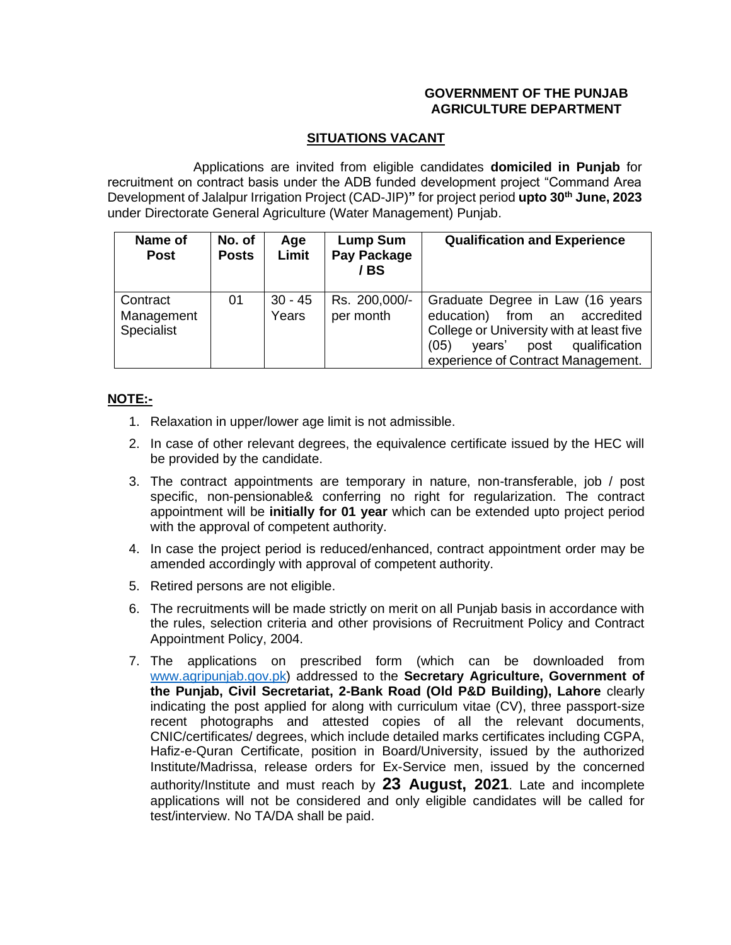## **GOVERNMENT OF THE PUNJAB AGRICULTURE DEPARTMENT**

## **SITUATIONS VACANT**

Applications are invited from eligible candidates **domiciled in Punjab** for recruitment on contract basis under the ADB funded development project "Command Area Development of Jalalpur Irrigation Project (CAD-JIP)**"** for project period **upto 30th June, 2023** under Directorate General Agriculture (Water Management) Punjab.

| Name of<br><b>Post</b>               | No. of<br><b>Posts</b> | Age<br>Limit       | Lump Sum<br>Pay Package<br>/ BS | <b>Qualification and Experience</b>                                                                                                                                                               |
|--------------------------------------|------------------------|--------------------|---------------------------------|---------------------------------------------------------------------------------------------------------------------------------------------------------------------------------------------------|
| Contract<br>Management<br>Specialist | 01                     | $30 - 45$<br>Years | Rs. 200,000/-<br>per month      | Graduate Degree in Law (16 years<br>education)<br>from an accredited<br>College or University with at least five<br>(05)<br>post<br>qualification<br>vears'<br>experience of Contract Management. |

## **NOTE:-**

- 1. Relaxation in upper/lower age limit is not admissible.
- 2. In case of other relevant degrees, the equivalence certificate issued by the HEC will be provided by the candidate.
- 3. The contract appointments are temporary in nature, non-transferable, job / post specific, non-pensionable& conferring no right for regularization. The contract appointment will be **initially for 01 year** which can be extended upto project period with the approval of competent authority.
- 4. In case the project period is reduced/enhanced, contract appointment order may be amended accordingly with approval of competent authority.
- 5. Retired persons are not eligible.
- 6. The recruitments will be made strictly on merit on all Punjab basis in accordance with the rules, selection criteria and other provisions of Recruitment Policy and Contract Appointment Policy, 2004.
- 7. The applications on prescribed form (which can be downloaded from [www.agripunjab.gov.pk\)](http://www.agripunjab.gov.pk/) addressed to the **Secretary Agriculture, Government of the Punjab, Civil Secretariat, 2-Bank Road (Old P&D Building), Lahore** clearly indicating the post applied for along with curriculum vitae (CV), three passport-size recent photographs and attested copies of all the relevant documents, CNIC/certificates/ degrees, which include detailed marks certificates including CGPA, Hafiz-e-Quran Certificate, position in Board/University, issued by the authorized Institute/Madrissa, release orders for Ex-Service men, issued by the concerned authority/Institute and must reach by **23 August, 2021**. Late and incomplete applications will not be considered and only eligible candidates will be called for test/interview. No TA/DA shall be paid.